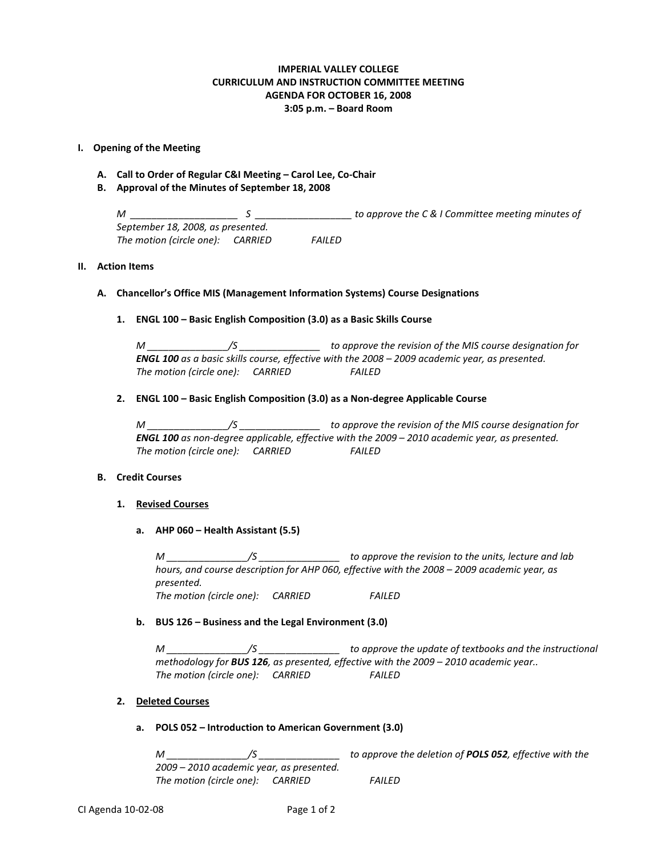# **IMPERIAL VALLEY COLLEGE CURRICULUM AND INSTRUCTION COMMITTEE MEETING AGENDA FOR OCTOBER 16, 2008 3:05 p.m. – Board Room**

## **I. Opening of the Meeting**

- **A. Call to Order of Regular C&I Meeting – Carol Lee, Co-Chair**
- **B. Approval of the Minutes of September 18, 2008**

*M \_\_\_\_\_\_\_\_\_\_\_\_\_\_\_\_\_\_\_\_ S \_\_\_\_\_\_\_\_\_\_\_\_\_\_\_\_\_\_ to approve the C & I Committee meeting minutes of September 18, 2008, as presented. The motion (circle one): CARRIED FAILED*

# **II. Action Items**

## **A. Chancellor's Office MIS (Management Information Systems) Course Designations**

## **1. ENGL 100 – Basic English Composition (3.0) as a Basic Skills Course**

*M \_\_\_\_\_\_\_\_\_\_\_\_\_\_\_/S \_\_\_\_\_\_\_\_\_\_\_\_\_\_\_ to approve the revision of the MIS course designation for ENGL 100 as a basic skills course, effective with the 2008 – 2009 academic year, as presented. The motion (circle one): CARRIED FAILED*

## **2. ENGL 100 – Basic English Composition (3.0) as a Non-degree Applicable Course**

*M \_\_\_\_\_\_\_\_\_\_\_\_\_\_\_/S \_\_\_\_\_\_\_\_\_\_\_\_\_\_\_ to approve the revision of the MIS course designation for ENGL 100 as non-degree applicable, effective with the 2009 – 2010 academic year, as presented. The motion (circle one): CARRIED FAILED*

## **B. Credit Courses**

## **1. Revised Courses**

**a. AHP 060 – Health Assistant (5.5)**

*M \_\_\_\_\_\_\_\_\_\_\_\_\_\_\_/S \_\_\_\_\_\_\_\_\_\_\_\_\_\_\_ to approve the revision to the units, lecture and lab hours, and course description for AHP 060, effective with the 2008 – 2009 academic year, as presented. The motion (circle one): CARRIED FAILED*

## **b. BUS 126 – Business and the Legal Environment (3.0)**

*M \_\_\_\_\_\_\_\_\_\_\_\_\_\_\_/S \_\_\_\_\_\_\_\_\_\_\_\_\_\_\_ to approve the update of textbooks and the instructional methodology for BUS 126, as presented, effective with the 2009 – 2010 academic year.. The motion (circle one): CARRIED FAILED*

## **2. Deleted Courses**

**a. POLS 052 – Introduction to American Government (3.0)**

*M \_\_\_\_\_\_\_\_\_\_\_\_\_\_\_/S \_\_\_\_\_\_\_\_\_\_\_\_\_\_\_ to approve the deletion of POLS 052, effective with the 2009 – 2010 academic year, as presented. The motion (circle one): CARRIED FAILED*